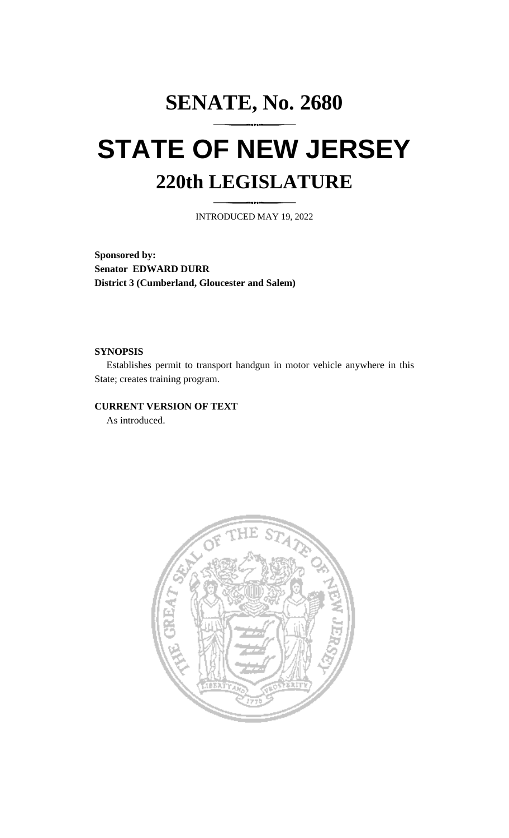# **SENATE, No. 2680 STATE OF NEW JERSEY 220th LEGISLATURE**

INTRODUCED MAY 19, 2022

**Sponsored by: Senator EDWARD DURR District 3 (Cumberland, Gloucester and Salem)**

### **SYNOPSIS**

Establishes permit to transport handgun in motor vehicle anywhere in this State; creates training program.

## **CURRENT VERSION OF TEXT**

As introduced.

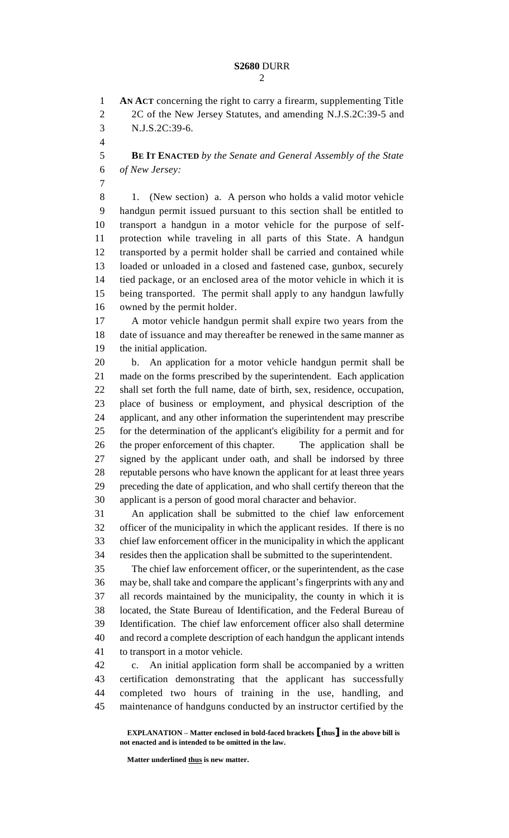**AN ACT** concerning the right to carry a firearm, supplementing Title 2 2C of the New Jersey Statutes, and amending N.J.S.2C:39-5 and N.J.S.2C:39-6.

 **BE IT ENACTED** *by the Senate and General Assembly of the State of New Jersey:*

 1. (New section) a. A person who holds a valid motor vehicle handgun permit issued pursuant to this section shall be entitled to transport a handgun in a motor vehicle for the purpose of self- protection while traveling in all parts of this State. A handgun transported by a permit holder shall be carried and contained while loaded or unloaded in a closed and fastened case, gunbox, securely tied package, or an enclosed area of the motor vehicle in which it is being transported. The permit shall apply to any handgun lawfully owned by the permit holder.

 A motor vehicle handgun permit shall expire two years from the date of issuance and may thereafter be renewed in the same manner as the initial application.

 b. An application for a motor vehicle handgun permit shall be made on the forms prescribed by the superintendent. Each application shall set forth the full name, date of birth, sex, residence, occupation, place of business or employment, and physical description of the applicant, and any other information the superintendent may prescribe for the determination of the applicant's eligibility for a permit and for the proper enforcement of this chapter. The application shall be signed by the applicant under oath, and shall be indorsed by three reputable persons who have known the applicant for at least three years preceding the date of application, and who shall certify thereon that the applicant is a person of good moral character and behavior.

 An application shall be submitted to the chief law enforcement officer of the municipality in which the applicant resides. If there is no chief law enforcement officer in the municipality in which the applicant resides then the application shall be submitted to the superintendent.

 The chief law enforcement officer, or the superintendent, as the case may be, shall take and compare the applicant's fingerprints with any and all records maintained by the municipality, the county in which it is located, the State Bureau of Identification, and the Federal Bureau of Identification. The chief law enforcement officer also shall determine and record a complete description of each handgun the applicant intends to transport in a motor vehicle.

 c. An initial application form shall be accompanied by a written certification demonstrating that the applicant has successfully completed two hours of training in the use, handling, and maintenance of handguns conducted by an instructor certified by the

**EXPLANATION – Matter enclosed in bold-faced brackets [thus] in the above bill is not enacted and is intended to be omitted in the law.**

**Matter underlined thus is new matter.**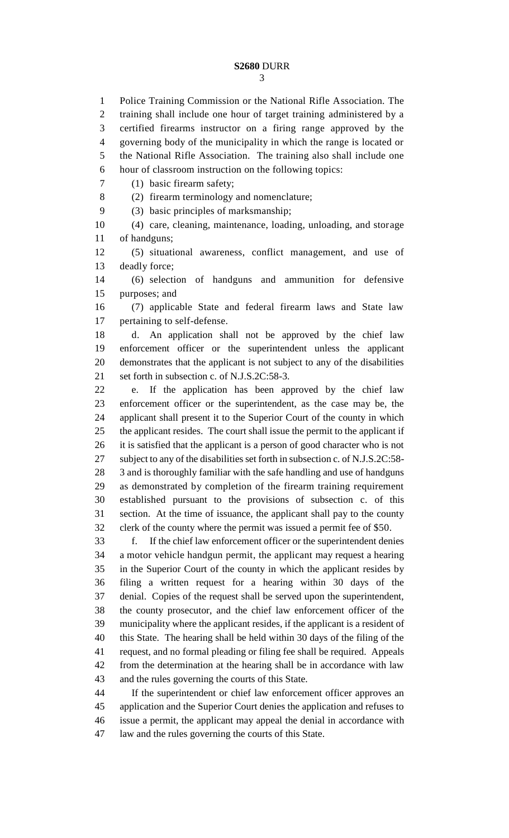Police Training Commission or the National Rifle Association. The training shall include one hour of target training administered by a certified firearms instructor on a firing range approved by the governing body of the municipality in which the range is located or the National Rifle Association. The training also shall include one hour of classroom instruction on the following topics:

(1) basic firearm safety;

(2) firearm terminology and nomenclature;

(3) basic principles of marksmanship;

 (4) care, cleaning, maintenance, loading, unloading, and storage of handguns;

 (5) situational awareness, conflict management, and use of deadly force;

 (6) selection of handguns and ammunition for defensive purposes; and

 (7) applicable State and federal firearm laws and State law pertaining to self-defense.

 d. An application shall not be approved by the chief law enforcement officer or the superintendent unless the applicant demonstrates that the applicant is not subject to any of the disabilities set forth in subsection c. of N.J.S.2C:58-3.

 e. If the application has been approved by the chief law enforcement officer or the superintendent, as the case may be, the applicant shall present it to the Superior Court of the county in which the applicant resides. The court shall issue the permit to the applicant if it is satisfied that the applicant is a person of good character who is not subject to any of the disabilities set forth in subsection c. of N.J.S.2C:58- 3 and is thoroughly familiar with the safe handling and use of handguns as demonstrated by completion of the firearm training requirement established pursuant to the provisions of subsection c. of this section. At the time of issuance, the applicant shall pay to the county clerk of the county where the permit was issued a permit fee of \$50.

 f. If the chief law enforcement officer or the superintendent denies a motor vehicle handgun permit, the applicant may request a hearing in the Superior Court of the county in which the applicant resides by filing a written request for a hearing within 30 days of the denial. Copies of the request shall be served upon the superintendent, the county prosecutor, and the chief law enforcement officer of the municipality where the applicant resides, if the applicant is a resident of this State. The hearing shall be held within 30 days of the filing of the request, and no formal pleading or filing fee shall be required. Appeals from the determination at the hearing shall be in accordance with law and the rules governing the courts of this State.

 If the superintendent or chief law enforcement officer approves an application and the Superior Court denies the application and refuses to issue a permit, the applicant may appeal the denial in accordance with law and the rules governing the courts of this State.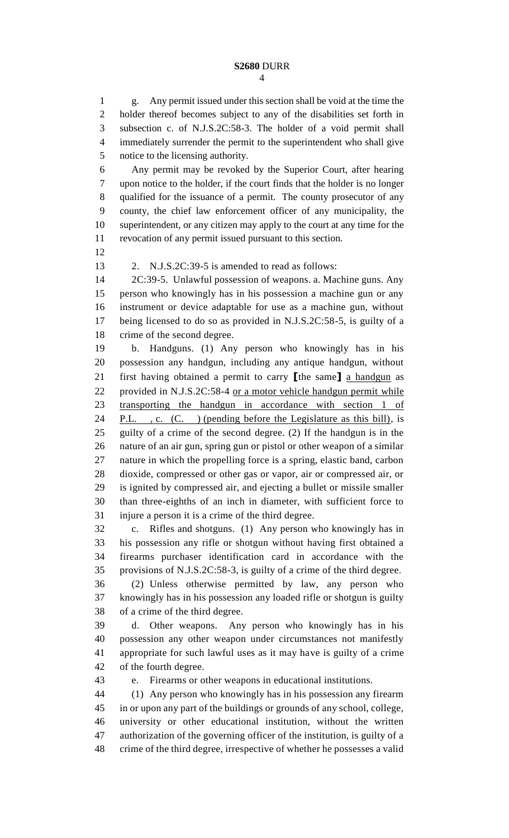g. Any permit issued under this section shall be void at the time the holder thereof becomes subject to any of the disabilities set forth in subsection c. of N.J.S.2C:58-3. The holder of a void permit shall immediately surrender the permit to the superintendent who shall give notice to the licensing authority.

 Any permit may be revoked by the Superior Court, after hearing upon notice to the holder, if the court finds that the holder is no longer qualified for the issuance of a permit. The county prosecutor of any county, the chief law enforcement officer of any municipality, the superintendent, or any citizen may apply to the court at any time for the revocation of any permit issued pursuant to this section.

2. N.J.S.2C:39-5 is amended to read as follows:

 2C:39-5. Unlawful possession of weapons. a. Machine guns. Any person who knowingly has in his possession a machine gun or any instrument or device adaptable for use as a machine gun, without being licensed to do so as provided in N.J.S.2C:58-5, is guilty of a crime of the second degree.

 b. Handguns. (1) Any person who knowingly has in his possession any handgun, including any antique handgun, without first having obtained a permit to carry **[**the same**]** a handgun as provided in N.J.S.2C:58-4 or a motor vehicle handgun permit while transporting the handgun in accordance with section 1 of 24 P.L., c. (C.) (pending before the Legislature as this bill), is guilty of a crime of the second degree. (2) If the handgun is in the nature of an air gun, spring gun or pistol or other weapon of a similar nature in which the propelling force is a spring, elastic band, carbon dioxide, compressed or other gas or vapor, air or compressed air, or is ignited by compressed air, and ejecting a bullet or missile smaller than three-eighths of an inch in diameter, with sufficient force to injure a person it is a crime of the third degree.

 c. Rifles and shotguns. (1) Any person who knowingly has in his possession any rifle or shotgun without having first obtained a firearms purchaser identification card in accordance with the provisions of N.J.S.2C:58-3, is guilty of a crime of the third degree.

 (2) Unless otherwise permitted by law, any person who knowingly has in his possession any loaded rifle or shotgun is guilty of a crime of the third degree.

 d. Other weapons. Any person who knowingly has in his possession any other weapon under circumstances not manifestly appropriate for such lawful uses as it may have is guilty of a crime of the fourth degree.

e. Firearms or other weapons in educational institutions.

 (1) Any person who knowingly has in his possession any firearm in or upon any part of the buildings or grounds of any school, college, university or other educational institution, without the written authorization of the governing officer of the institution, is guilty of a crime of the third degree, irrespective of whether he possesses a valid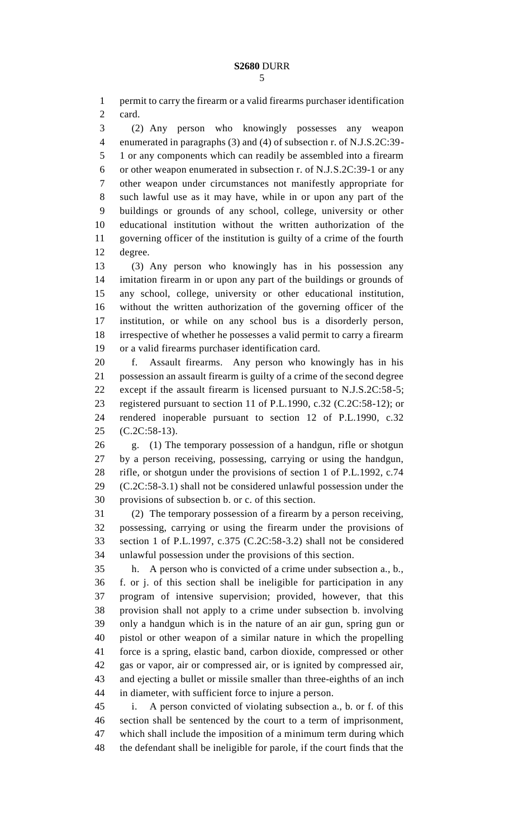permit to carry the firearm or a valid firearms purchaser identification card.

 (2) Any person who knowingly possesses any weapon enumerated in paragraphs (3) and (4) of subsection r. of N.J.S.2C:39- 1 or any components which can readily be assembled into a firearm or other weapon enumerated in subsection r. of N.J.S.2C:39-1 or any other weapon under circumstances not manifestly appropriate for such lawful use as it may have, while in or upon any part of the buildings or grounds of any school, college, university or other educational institution without the written authorization of the governing officer of the institution is guilty of a crime of the fourth degree.

 (3) Any person who knowingly has in his possession any imitation firearm in or upon any part of the buildings or grounds of any school, college, university or other educational institution, without the written authorization of the governing officer of the institution, or while on any school bus is a disorderly person, irrespective of whether he possesses a valid permit to carry a firearm or a valid firearms purchaser identification card.

 f. Assault firearms. Any person who knowingly has in his possession an assault firearm is guilty of a crime of the second degree except if the assault firearm is licensed pursuant to N.J.S.2C:58-5; registered pursuant to section 11 of P.L.1990, c.32 (C.2C:58-12); or rendered inoperable pursuant to section 12 of P.L.1990, c.32 (C.2C:58-13).

 g. (1) The temporary possession of a handgun, rifle or shotgun by a person receiving, possessing, carrying or using the handgun, rifle, or shotgun under the provisions of section 1 of P.L.1992, c.74 (C.2C:58-3.1) shall not be considered unlawful possession under the provisions of subsection b. or c. of this section.

 (2) The temporary possession of a firearm by a person receiving, possessing, carrying or using the firearm under the provisions of section 1 of P.L.1997, c.375 (C.2C:58-3.2) shall not be considered unlawful possession under the provisions of this section.

 h. A person who is convicted of a crime under subsection a., b., f. or j. of this section shall be ineligible for participation in any program of intensive supervision; provided, however, that this provision shall not apply to a crime under subsection b. involving only a handgun which is in the nature of an air gun, spring gun or pistol or other weapon of a similar nature in which the propelling force is a spring, elastic band, carbon dioxide, compressed or other gas or vapor, air or compressed air, or is ignited by compressed air, and ejecting a bullet or missile smaller than three-eighths of an inch in diameter, with sufficient force to injure a person.

 i. A person convicted of violating subsection a., b. or f. of this section shall be sentenced by the court to a term of imprisonment, which shall include the imposition of a minimum term during which the defendant shall be ineligible for parole, if the court finds that the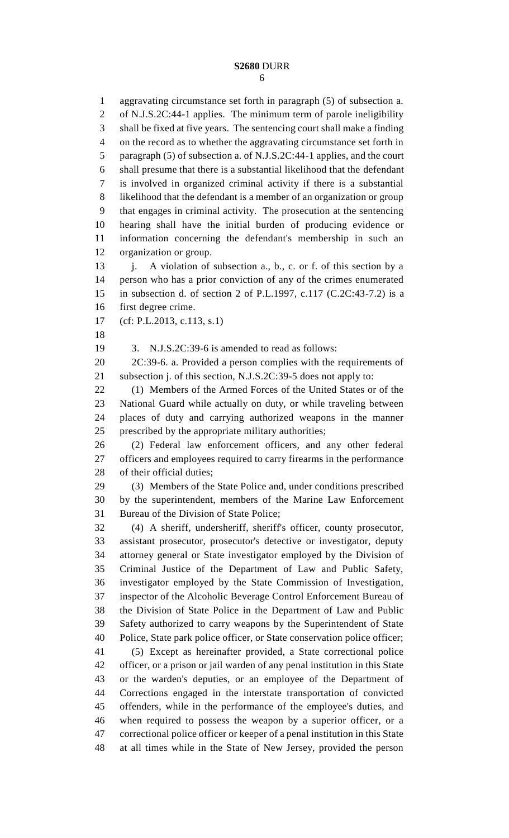aggravating circumstance set forth in paragraph (5) of subsection a. of N.J.S.2C:44-1 applies. The minimum term of parole ineligibility shall be fixed at five years. The sentencing court shall make a finding on the record as to whether the aggravating circumstance set forth in paragraph (5) of subsection a. of N.J.S.2C:44-1 applies, and the court shall presume that there is a substantial likelihood that the defendant is involved in organized criminal activity if there is a substantial likelihood that the defendant is a member of an organization or group that engages in criminal activity. The prosecution at the sentencing hearing shall have the initial burden of producing evidence or information concerning the defendant's membership in such an organization or group. 13 j. A violation of subsection a., b., c. or f. of this section by a person who has a prior conviction of any of the crimes enumerated in subsection d. of section 2 of P.L.1997, c.117 (C.2C:43-7.2) is a first degree crime. (cf: P.L.2013, c.113, s.1) 3. N.J.S.2C:39-6 is amended to read as follows: 2C:39-6. a. Provided a person complies with the requirements of subsection j. of this section, N.J.S.2C:39-5 does not apply to: (1) Members of the Armed Forces of the United States or of the National Guard while actually on duty, or while traveling between places of duty and carrying authorized weapons in the manner prescribed by the appropriate military authorities; (2) Federal law enforcement officers, and any other federal officers and employees required to carry firearms in the performance of their official duties; (3) Members of the State Police and, under conditions prescribed by the superintendent, members of the Marine Law Enforcement Bureau of the Division of State Police; (4) A sheriff, undersheriff, sheriff's officer, county prosecutor, assistant prosecutor, prosecutor's detective or investigator, deputy attorney general or State investigator employed by the Division of Criminal Justice of the Department of Law and Public Safety, investigator employed by the State Commission of Investigation, inspector of the Alcoholic Beverage Control Enforcement Bureau of the Division of State Police in the Department of Law and Public Safety authorized to carry weapons by the Superintendent of State Police, State park police officer, or State conservation police officer; (5) Except as hereinafter provided, a State correctional police officer, or a prison or jail warden of any penal institution in this State or the warden's deputies, or an employee of the Department of Corrections engaged in the interstate transportation of convicted offenders, while in the performance of the employee's duties, and when required to possess the weapon by a superior officer, or a correctional police officer or keeper of a penal institution in this State at all times while in the State of New Jersey, provided the person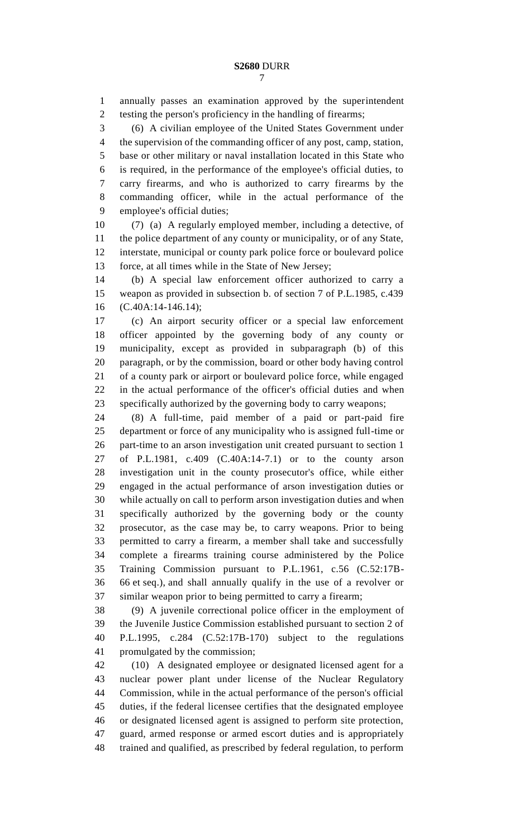annually passes an examination approved by the superintendent testing the person's proficiency in the handling of firearms;

(6) A civilian employee of the United States Government under

the supervision of the commanding officer of any post, camp, station,

 base or other military or naval installation located in this State who is required, in the performance of the employee's official duties, to carry firearms, and who is authorized to carry firearms by the commanding officer, while in the actual performance of the employee's official duties;

 (7) (a) A regularly employed member, including a detective, of the police department of any county or municipality, or of any State, interstate, municipal or county park police force or boulevard police force, at all times while in the State of New Jersey;

 (b) A special law enforcement officer authorized to carry a weapon as provided in subsection b. of section 7 of P.L.1985, c.439 (C.40A:14-146.14);

 (c) An airport security officer or a special law enforcement officer appointed by the governing body of any county or municipality, except as provided in subparagraph (b) of this paragraph, or by the commission, board or other body having control of a county park or airport or boulevard police force, while engaged in the actual performance of the officer's official duties and when specifically authorized by the governing body to carry weapons;

 (8) A full-time, paid member of a paid or part-paid fire department or force of any municipality who is assigned full-time or part-time to an arson investigation unit created pursuant to section 1 of P.L.1981, c.409 (C.40A:14-7.1) or to the county arson investigation unit in the county prosecutor's office, while either engaged in the actual performance of arson investigation duties or while actually on call to perform arson investigation duties and when specifically authorized by the governing body or the county prosecutor, as the case may be, to carry weapons. Prior to being permitted to carry a firearm, a member shall take and successfully complete a firearms training course administered by the Police Training Commission pursuant to P.L.1961, c.56 (C.52:17B- 66 et seq.), and shall annually qualify in the use of a revolver or similar weapon prior to being permitted to carry a firearm;

 (9) A juvenile correctional police officer in the employment of the Juvenile Justice Commission established pursuant to section 2 of P.L.1995, c.284 (C.52:17B-170) subject to the regulations promulgated by the commission;

 (10) A designated employee or designated licensed agent for a nuclear power plant under license of the Nuclear Regulatory Commission, while in the actual performance of the person's official duties, if the federal licensee certifies that the designated employee or designated licensed agent is assigned to perform site protection, guard, armed response or armed escort duties and is appropriately trained and qualified, as prescribed by federal regulation, to perform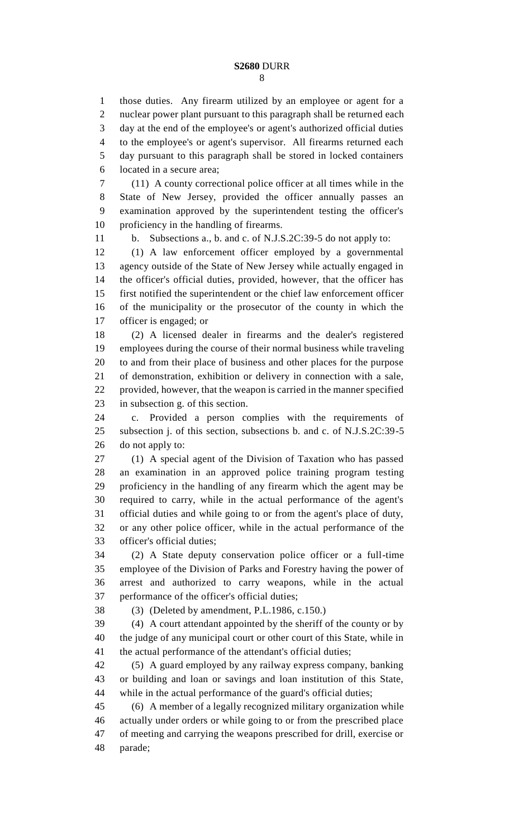those duties. Any firearm utilized by an employee or agent for a nuclear power plant pursuant to this paragraph shall be returned each day at the end of the employee's or agent's authorized official duties to the employee's or agent's supervisor. All firearms returned each day pursuant to this paragraph shall be stored in locked containers located in a secure area;

 (11) A county correctional police officer at all times while in the State of New Jersey, provided the officer annually passes an examination approved by the superintendent testing the officer's proficiency in the handling of firearms.

b. Subsections a., b. and c. of N.J.S.2C:39-5 do not apply to:

 (1) A law enforcement officer employed by a governmental agency outside of the State of New Jersey while actually engaged in the officer's official duties, provided, however, that the officer has first notified the superintendent or the chief law enforcement officer of the municipality or the prosecutor of the county in which the officer is engaged; or

 (2) A licensed dealer in firearms and the dealer's registered employees during the course of their normal business while traveling to and from their place of business and other places for the purpose of demonstration, exhibition or delivery in connection with a sale, provided, however, that the weapon is carried in the manner specified in subsection g. of this section.

 c. Provided a person complies with the requirements of subsection j. of this section, subsections b. and c. of N.J.S.2C:39-5 do not apply to:

 (1) A special agent of the Division of Taxation who has passed an examination in an approved police training program testing proficiency in the handling of any firearm which the agent may be required to carry, while in the actual performance of the agent's official duties and while going to or from the agent's place of duty, or any other police officer, while in the actual performance of the officer's official duties;

 (2) A State deputy conservation police officer or a full-time employee of the Division of Parks and Forestry having the power of arrest and authorized to carry weapons, while in the actual performance of the officer's official duties;

(3) (Deleted by amendment, P.L.1986, c.150.)

 (4) A court attendant appointed by the sheriff of the county or by the judge of any municipal court or other court of this State, while in the actual performance of the attendant's official duties;

 (5) A guard employed by any railway express company, banking or building and loan or savings and loan institution of this State, while in the actual performance of the guard's official duties;

 (6) A member of a legally recognized military organization while actually under orders or while going to or from the prescribed place of meeting and carrying the weapons prescribed for drill, exercise or parade;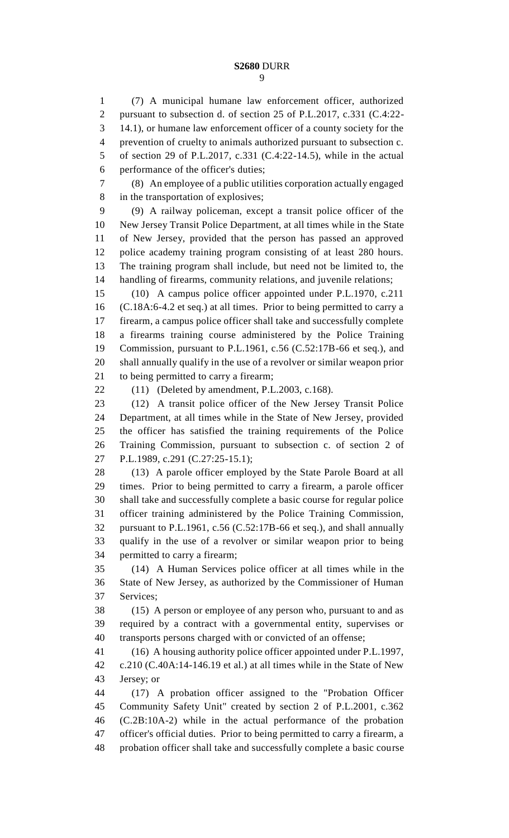(7) A municipal humane law enforcement officer, authorized pursuant to subsection d. of section 25 of P.L.2017, c.331 (C.4:22- 14.1), or humane law enforcement officer of a county society for the prevention of cruelty to animals authorized pursuant to subsection c. of section 29 of P.L.2017, c.331 (C.4:22-14.5), while in the actual performance of the officer's duties; (8) An employee of a public utilities corporation actually engaged in the transportation of explosives; (9) A railway policeman, except a transit police officer of the New Jersey Transit Police Department, at all times while in the State of New Jersey, provided that the person has passed an approved police academy training program consisting of at least 280 hours. The training program shall include, but need not be limited to, the handling of firearms, community relations, and juvenile relations; (10) A campus police officer appointed under P.L.1970, c.211 (C.18A:6-4.2 et seq.) at all times. Prior to being permitted to carry a firearm, a campus police officer shall take and successfully complete a firearms training course administered by the Police Training Commission, pursuant to P.L.1961, c.56 (C.52:17B-66 et seq.), and shall annually qualify in the use of a revolver or similar weapon prior to being permitted to carry a firearm; (11) (Deleted by amendment, P.L.2003, c.168). (12) A transit police officer of the New Jersey Transit Police Department, at all times while in the State of New Jersey, provided the officer has satisfied the training requirements of the Police Training Commission, pursuant to subsection c. of section 2 of P.L.1989, c.291 (C.27:25-15.1); (13) A parole officer employed by the State Parole Board at all times. Prior to being permitted to carry a firearm, a parole officer shall take and successfully complete a basic course for regular police officer training administered by the Police Training Commission, pursuant to P.L.1961, c.56 (C.52:17B-66 et seq.), and shall annually qualify in the use of a revolver or similar weapon prior to being permitted to carry a firearm; (14) A Human Services police officer at all times while in the State of New Jersey, as authorized by the Commissioner of Human Services; (15) A person or employee of any person who, pursuant to and as required by a contract with a governmental entity, supervises or transports persons charged with or convicted of an offense; (16) A housing authority police officer appointed under P.L.1997, c.210 (C.40A:14-146.19 et al.) at all times while in the State of New Jersey; or (17) A probation officer assigned to the "Probation Officer Community Safety Unit" created by section 2 of P.L.2001, c.362 (C.2B:10A-2) while in the actual performance of the probation officer's official duties. Prior to being permitted to carry a firearm, a probation officer shall take and successfully complete a basic course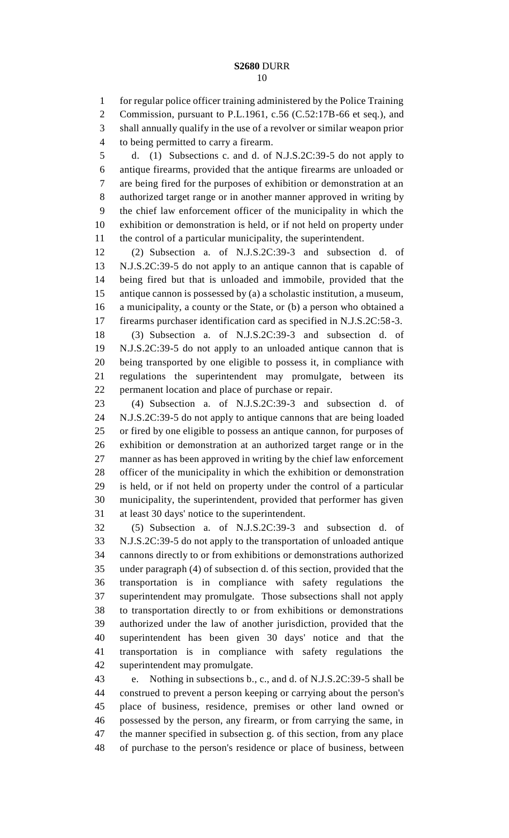for regular police officer training administered by the Police Training Commission, pursuant to P.L.1961, c.56 (C.52:17B-66 et seq.), and shall annually qualify in the use of a revolver or similar weapon prior to being permitted to carry a firearm.

 d. (1) Subsections c. and d. of N.J.S.2C:39-5 do not apply to antique firearms, provided that the antique firearms are unloaded or are being fired for the purposes of exhibition or demonstration at an authorized target range or in another manner approved in writing by the chief law enforcement officer of the municipality in which the exhibition or demonstration is held, or if not held on property under the control of a particular municipality, the superintendent.

 (2) Subsection a. of N.J.S.2C:39-3 and subsection d. of N.J.S.2C:39-5 do not apply to an antique cannon that is capable of being fired but that is unloaded and immobile, provided that the antique cannon is possessed by (a) a scholastic institution, a museum, a municipality, a county or the State, or (b) a person who obtained a firearms purchaser identification card as specified in N.J.S.2C:58-3.

 (3) Subsection a. of N.J.S.2C:39-3 and subsection d. of N.J.S.2C:39-5 do not apply to an unloaded antique cannon that is being transported by one eligible to possess it, in compliance with regulations the superintendent may promulgate, between its permanent location and place of purchase or repair.

 (4) Subsection a. of N.J.S.2C:39-3 and subsection d. of N.J.S.2C:39-5 do not apply to antique cannons that are being loaded or fired by one eligible to possess an antique cannon, for purposes of exhibition or demonstration at an authorized target range or in the manner as has been approved in writing by the chief law enforcement officer of the municipality in which the exhibition or demonstration is held, or if not held on property under the control of a particular municipality, the superintendent, provided that performer has given at least 30 days' notice to the superintendent.

 (5) Subsection a. of N.J.S.2C:39-3 and subsection d. of N.J.S.2C:39-5 do not apply to the transportation of unloaded antique cannons directly to or from exhibitions or demonstrations authorized under paragraph (4) of subsection d. of this section, provided that the transportation is in compliance with safety regulations the superintendent may promulgate. Those subsections shall not apply to transportation directly to or from exhibitions or demonstrations authorized under the law of another jurisdiction, provided that the superintendent has been given 30 days' notice and that the transportation is in compliance with safety regulations the superintendent may promulgate.

 e. Nothing in subsections b., c., and d. of N.J.S.2C:39-5 shall be construed to prevent a person keeping or carrying about the person's place of business, residence, premises or other land owned or possessed by the person, any firearm, or from carrying the same, in the manner specified in subsection g. of this section, from any place of purchase to the person's residence or place of business, between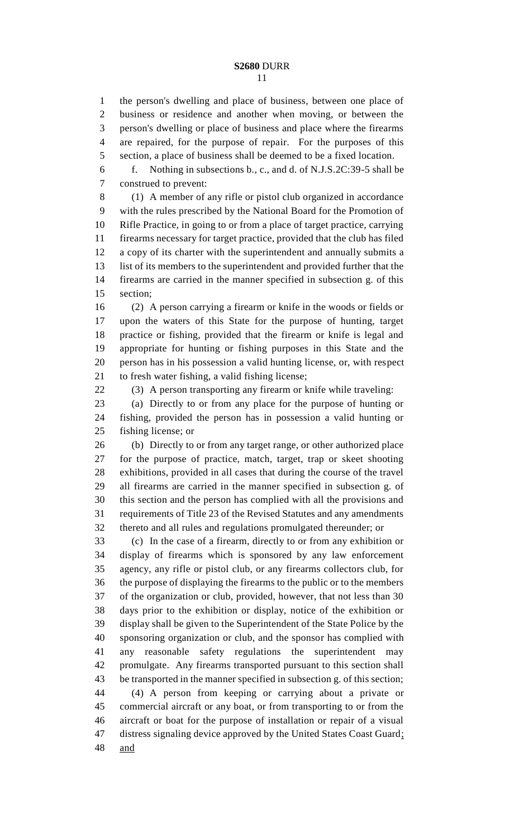the person's dwelling and place of business, between one place of business or residence and another when moving, or between the person's dwelling or place of business and place where the firearms are repaired, for the purpose of repair. For the purposes of this section, a place of business shall be deemed to be a fixed location.

 f. Nothing in subsections b., c., and d. of N.J.S.2C:39-5 shall be construed to prevent:

 (1) A member of any rifle or pistol club organized in accordance with the rules prescribed by the National Board for the Promotion of Rifle Practice, in going to or from a place of target practice, carrying firearms necessary for target practice, provided that the club has filed a copy of its charter with the superintendent and annually submits a list of its members to the superintendent and provided further that the firearms are carried in the manner specified in subsection g. of this section;

 (2) A person carrying a firearm or knife in the woods or fields or upon the waters of this State for the purpose of hunting, target practice or fishing, provided that the firearm or knife is legal and appropriate for hunting or fishing purposes in this State and the person has in his possession a valid hunting license, or, with respect to fresh water fishing, a valid fishing license;

(3) A person transporting any firearm or knife while traveling:

 (a) Directly to or from any place for the purpose of hunting or fishing, provided the person has in possession a valid hunting or fishing license; or

 (b) Directly to or from any target range, or other authorized place for the purpose of practice, match, target, trap or skeet shooting exhibitions, provided in all cases that during the course of the travel all firearms are carried in the manner specified in subsection g. of this section and the person has complied with all the provisions and requirements of Title 23 of the Revised Statutes and any amendments thereto and all rules and regulations promulgated thereunder; or

 (c) In the case of a firearm, directly to or from any exhibition or display of firearms which is sponsored by any law enforcement agency, any rifle or pistol club, or any firearms collectors club, for the purpose of displaying the firearms to the public or to the members of the organization or club, provided, however, that not less than 30 days prior to the exhibition or display, notice of the exhibition or display shall be given to the Superintendent of the State Police by the sponsoring organization or club, and the sponsor has complied with any reasonable safety regulations the superintendent may promulgate. Any firearms transported pursuant to this section shall be transported in the manner specified in subsection g. of this section; (4) A person from keeping or carrying about a private or commercial aircraft or any boat, or from transporting to or from the aircraft or boat for the purpose of installation or repair of a visual distress signaling device approved by the United States Coast Guard; and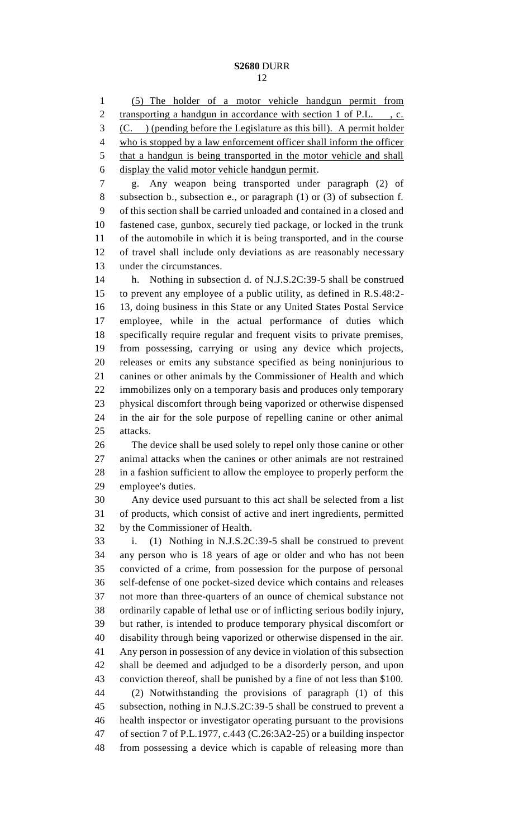(5) The holder of a motor vehicle handgun permit from 2 transporting a handgun in accordance with section 1 of P.L., c. (C. ) (pending before the Legislature as this bill). A permit holder who is stopped by a law enforcement officer shall inform the officer that a handgun is being transported in the motor vehicle and shall display the valid motor vehicle handgun permit. g. Any weapon being transported under paragraph (2) of subsection b., subsection e., or paragraph (1) or (3) of subsection f. of this section shall be carried unloaded and contained in a closed and fastened case, gunbox, securely tied package, or locked in the trunk of the automobile in which it is being transported, and in the course of travel shall include only deviations as are reasonably necessary under the circumstances. h. Nothing in subsection d. of N.J.S.2C:39-5 shall be construed to prevent any employee of a public utility, as defined in R.S.48:2- 13, doing business in this State or any United States Postal Service employee, while in the actual performance of duties which specifically require regular and frequent visits to private premises, from possessing, carrying or using any device which projects, releases or emits any substance specified as being noninjurious to canines or other animals by the Commissioner of Health and which immobilizes only on a temporary basis and produces only temporary physical discomfort through being vaporized or otherwise dispensed in the air for the sole purpose of repelling canine or other animal attacks. The device shall be used solely to repel only those canine or other animal attacks when the canines or other animals are not restrained in a fashion sufficient to allow the employee to properly perform the employee's duties. Any device used pursuant to this act shall be selected from a list of products, which consist of active and inert ingredients, permitted by the Commissioner of Health. i. (1) Nothing in N.J.S.2C:39-5 shall be construed to prevent any person who is 18 years of age or older and who has not been convicted of a crime, from possession for the purpose of personal self-defense of one pocket-sized device which contains and releases not more than three-quarters of an ounce of chemical substance not ordinarily capable of lethal use or of inflicting serious bodily injury, but rather, is intended to produce temporary physical discomfort or disability through being vaporized or otherwise dispensed in the air. Any person in possession of any device in violation of this subsection shall be deemed and adjudged to be a disorderly person, and upon conviction thereof, shall be punished by a fine of not less than \$100. (2) Notwithstanding the provisions of paragraph (1) of this subsection, nothing in N.J.S.2C:39-5 shall be construed to prevent a health inspector or investigator operating pursuant to the provisions of section 7 of P.L.1977, c.443 (C.26:3A2-25) or a building inspector from possessing a device which is capable of releasing more than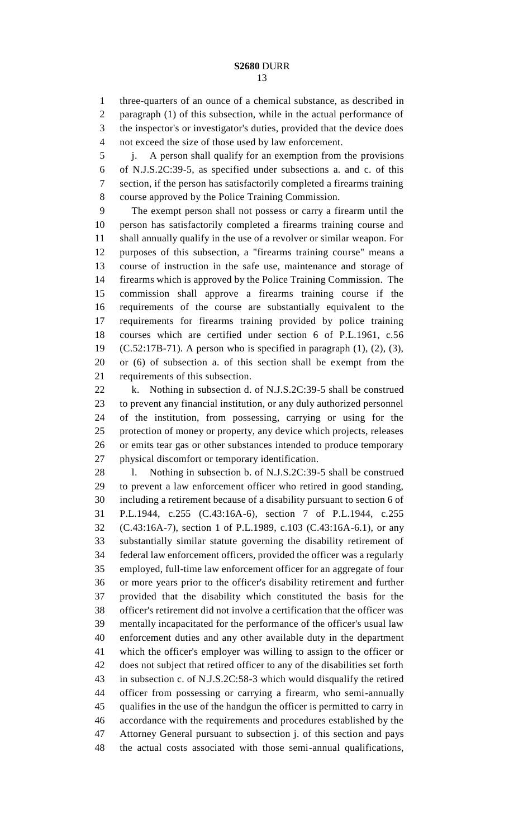three-quarters of an ounce of a chemical substance, as described in paragraph (1) of this subsection, while in the actual performance of the inspector's or investigator's duties, provided that the device does not exceed the size of those used by law enforcement.

 j. A person shall qualify for an exemption from the provisions of N.J.S.2C:39-5, as specified under subsections a. and c. of this section, if the person has satisfactorily completed a firearms training course approved by the Police Training Commission.

 The exempt person shall not possess or carry a firearm until the person has satisfactorily completed a firearms training course and shall annually qualify in the use of a revolver or similar weapon. For purposes of this subsection, a "firearms training course" means a course of instruction in the safe use, maintenance and storage of firearms which is approved by the Police Training Commission. The commission shall approve a firearms training course if the requirements of the course are substantially equivalent to the requirements for firearms training provided by police training courses which are certified under section 6 of P.L.1961, c.56 (C.52:17B-71). A person who is specified in paragraph (1), (2), (3), or (6) of subsection a. of this section shall be exempt from the requirements of this subsection.

22 k. Nothing in subsection d. of N.J.S.2C:39-5 shall be construed to prevent any financial institution, or any duly authorized personnel of the institution, from possessing, carrying or using for the protection of money or property, any device which projects, releases or emits tear gas or other substances intended to produce temporary physical discomfort or temporary identification.

28 l. Nothing in subsection b. of N.J.S.2C:39-5 shall be construed to prevent a law enforcement officer who retired in good standing, including a retirement because of a disability pursuant to section 6 of P.L.1944, c.255 (C.43:16A-6), section 7 of P.L.1944, c.255 (C.43:16A-7), section 1 of P.L.1989, c.103 (C.43:16A-6.1), or any substantially similar statute governing the disability retirement of federal law enforcement officers, provided the officer was a regularly employed, full-time law enforcement officer for an aggregate of four or more years prior to the officer's disability retirement and further provided that the disability which constituted the basis for the officer's retirement did not involve a certification that the officer was mentally incapacitated for the performance of the officer's usual law enforcement duties and any other available duty in the department which the officer's employer was willing to assign to the officer or does not subject that retired officer to any of the disabilities set forth in subsection c. of N.J.S.2C:58-3 which would disqualify the retired officer from possessing or carrying a firearm, who semi-annually qualifies in the use of the handgun the officer is permitted to carry in accordance with the requirements and procedures established by the Attorney General pursuant to subsection j. of this section and pays the actual costs associated with those semi-annual qualifications,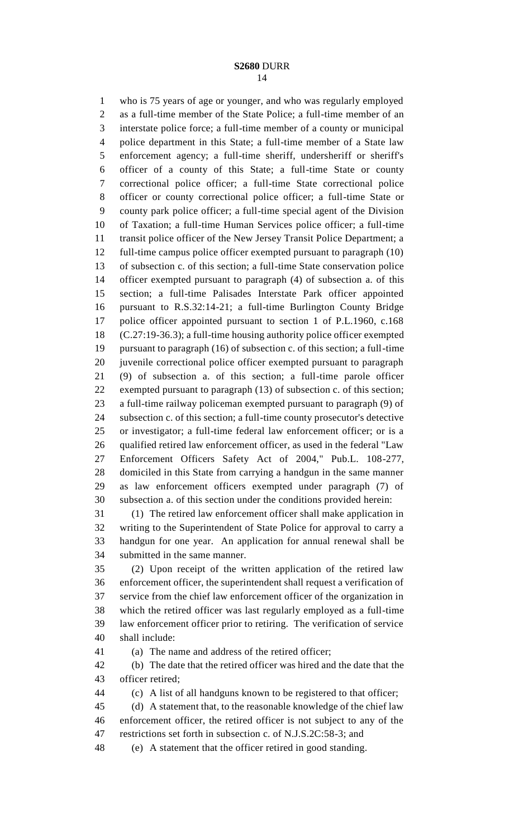who is 75 years of age or younger, and who was regularly employed as a full-time member of the State Police; a full-time member of an interstate police force; a full-time member of a county or municipal police department in this State; a full-time member of a State law enforcement agency; a full-time sheriff, undersheriff or sheriff's officer of a county of this State; a full-time State or county correctional police officer; a full-time State correctional police officer or county correctional police officer; a full-time State or county park police officer; a full-time special agent of the Division of Taxation; a full-time Human Services police officer; a full-time transit police officer of the New Jersey Transit Police Department; a full-time campus police officer exempted pursuant to paragraph (10) of subsection c. of this section; a full-time State conservation police officer exempted pursuant to paragraph (4) of subsection a. of this section; a full-time Palisades Interstate Park officer appointed pursuant to R.S.32:14-21; a full-time Burlington County Bridge police officer appointed pursuant to section 1 of P.L.1960, c.168 (C.27:19-36.3); a full-time housing authority police officer exempted pursuant to paragraph (16) of subsection c. of this section; a full-time juvenile correctional police officer exempted pursuant to paragraph (9) of subsection a. of this section; a full-time parole officer exempted pursuant to paragraph (13) of subsection c. of this section; a full-time railway policeman exempted pursuant to paragraph (9) of subsection c. of this section; a full-time county prosecutor's detective or investigator; a full-time federal law enforcement officer; or is a qualified retired law enforcement officer, as used in the federal "Law Enforcement Officers Safety Act of 2004," Pub.L. 108-277, domiciled in this State from carrying a handgun in the same manner as law enforcement officers exempted under paragraph (7) of subsection a. of this section under the conditions provided herein:

 (1) The retired law enforcement officer shall make application in writing to the Superintendent of State Police for approval to carry a handgun for one year. An application for annual renewal shall be submitted in the same manner.

 (2) Upon receipt of the written application of the retired law enforcement officer, the superintendent shall request a verification of service from the chief law enforcement officer of the organization in which the retired officer was last regularly employed as a full-time law enforcement officer prior to retiring. The verification of service shall include:

(a) The name and address of the retired officer;

 (b) The date that the retired officer was hired and the date that the officer retired;

(c) A list of all handguns known to be registered to that officer;

 (d) A statement that, to the reasonable knowledge of the chief law enforcement officer, the retired officer is not subject to any of the restrictions set forth in subsection c. of N.J.S.2C:58-3; and

(e) A statement that the officer retired in good standing.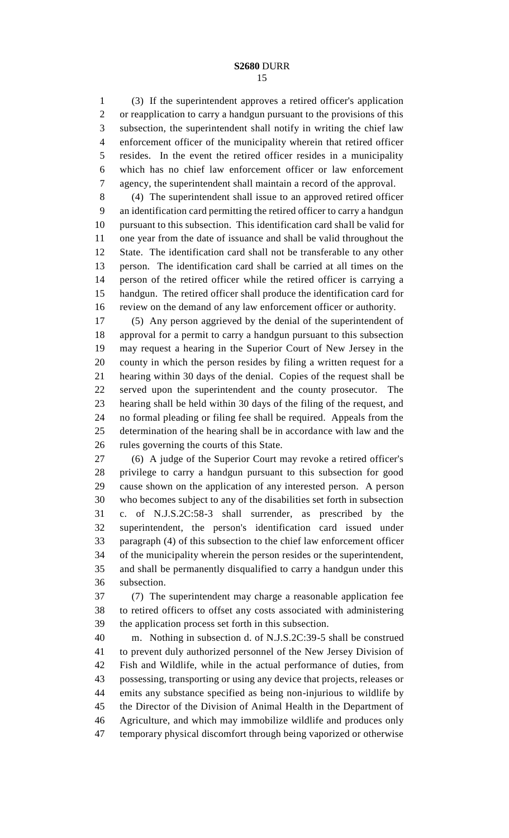(3) If the superintendent approves a retired officer's application or reapplication to carry a handgun pursuant to the provisions of this subsection, the superintendent shall notify in writing the chief law enforcement officer of the municipality wherein that retired officer resides. In the event the retired officer resides in a municipality which has no chief law enforcement officer or law enforcement agency, the superintendent shall maintain a record of the approval.

 (4) The superintendent shall issue to an approved retired officer an identification card permitting the retired officer to carry a handgun pursuant to this subsection. This identification card shall be valid for one year from the date of issuance and shall be valid throughout the State. The identification card shall not be transferable to any other person. The identification card shall be carried at all times on the person of the retired officer while the retired officer is carrying a handgun. The retired officer shall produce the identification card for review on the demand of any law enforcement officer or authority.

 (5) Any person aggrieved by the denial of the superintendent of approval for a permit to carry a handgun pursuant to this subsection may request a hearing in the Superior Court of New Jersey in the county in which the person resides by filing a written request for a hearing within 30 days of the denial. Copies of the request shall be served upon the superintendent and the county prosecutor. The hearing shall be held within 30 days of the filing of the request, and no formal pleading or filing fee shall be required. Appeals from the determination of the hearing shall be in accordance with law and the rules governing the courts of this State.

 (6) A judge of the Superior Court may revoke a retired officer's privilege to carry a handgun pursuant to this subsection for good cause shown on the application of any interested person. A person who becomes subject to any of the disabilities set forth in subsection c. of N.J.S.2C:58-3 shall surrender, as prescribed by the superintendent, the person's identification card issued under paragraph (4) of this subsection to the chief law enforcement officer of the municipality wherein the person resides or the superintendent, and shall be permanently disqualified to carry a handgun under this subsection.

 (7) The superintendent may charge a reasonable application fee to retired officers to offset any costs associated with administering the application process set forth in this subsection.

 m. Nothing in subsection d. of N.J.S.2C:39-5 shall be construed to prevent duly authorized personnel of the New Jersey Division of Fish and Wildlife, while in the actual performance of duties, from possessing, transporting or using any device that projects, releases or emits any substance specified as being non-injurious to wildlife by the Director of the Division of Animal Health in the Department of Agriculture, and which may immobilize wildlife and produces only temporary physical discomfort through being vaporized or otherwise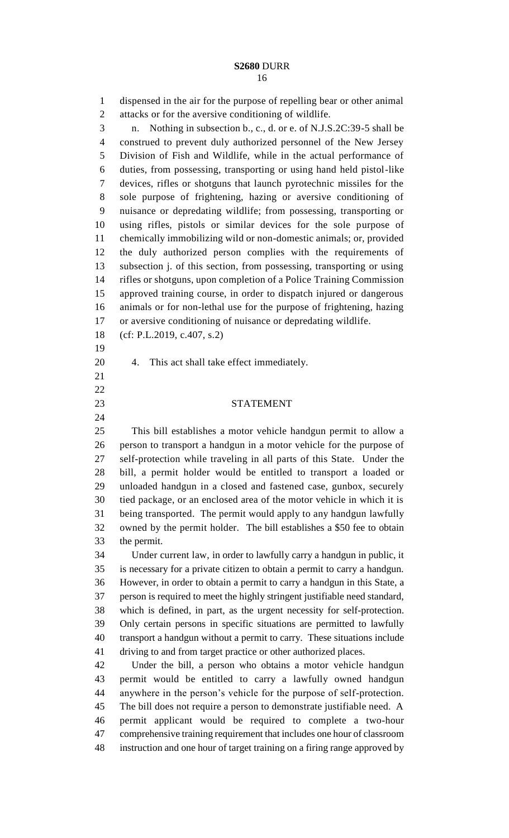dispensed in the air for the purpose of repelling bear or other animal attacks or for the aversive conditioning of wildlife. n. Nothing in subsection b., c., d. or e. of N.J.S.2C:39-5 shall be construed to prevent duly authorized personnel of the New Jersey Division of Fish and Wildlife, while in the actual performance of duties, from possessing, transporting or using hand held pistol-like devices, rifles or shotguns that launch pyrotechnic missiles for the sole purpose of frightening, hazing or aversive conditioning of nuisance or depredating wildlife; from possessing, transporting or using rifles, pistols or similar devices for the sole purpose of chemically immobilizing wild or non-domestic animals; or, provided the duly authorized person complies with the requirements of subsection j. of this section, from possessing, transporting or using rifles or shotguns, upon completion of a Police Training Commission approved training course, in order to dispatch injured or dangerous animals or for non-lethal use for the purpose of frightening, hazing or aversive conditioning of nuisance or depredating wildlife.

- (cf: P.L.2019, c.407, s.2)
- 
- 4. This act shall take effect immediately.
- 
- 
- 
- 

STATEMENT

 This bill establishes a motor vehicle handgun permit to allow a person to transport a handgun in a motor vehicle for the purpose of self-protection while traveling in all parts of this State. Under the bill, a permit holder would be entitled to transport a loaded or unloaded handgun in a closed and fastened case, gunbox, securely tied package, or an enclosed area of the motor vehicle in which it is being transported. The permit would apply to any handgun lawfully owned by the permit holder. The bill establishes a \$50 fee to obtain the permit.

 Under current law, in order to lawfully carry a handgun in public, it is necessary for a private citizen to obtain a permit to carry a handgun. However, in order to obtain a permit to carry a handgun in this State, a person is required to meet the highly stringent justifiable need standard, which is defined, in part, as the urgent necessity for self-protection. Only certain persons in specific situations are permitted to lawfully transport a handgun without a permit to carry. These situations include driving to and from target practice or other authorized places.

 Under the bill, a person who obtains a motor vehicle handgun permit would be entitled to carry a lawfully owned handgun anywhere in the person's vehicle for the purpose of self-protection. The bill does not require a person to demonstrate justifiable need. A permit applicant would be required to complete a two-hour comprehensive training requirement that includes one hour of classroom instruction and one hour of target training on a firing range approved by